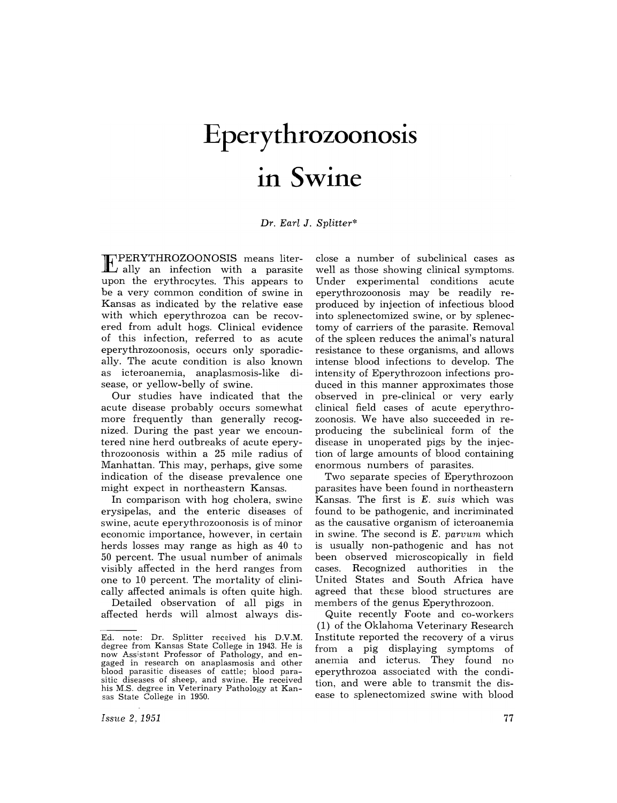# **Eperythrozoonosis in Swine**

*Dr. Ear[* J. *Splitter\** 

EPERYTHROZOONOSIS means liter-ally an infection with a parasite upon the erythrocytes. This appears to be a very common condition of swine in Kansas as indicated by the relative ease with which eperythrozoa can be recovered from adult hogs. Clinical evidence of this infection, referred to as acute eperythrozoonosis, occurs only sporadically. The acute condition is also known as icteroanemia, anaplasmosis-like disease, or yellow-belly of swine.

Our studies have indicated that the acute disease probably occurs somewhat more frequently than generally recognized. During the past year we encountered nine herd outbreaks of acute eperythrozoonosis within a 25 mile radius of Manhattan. This may, perhaps, give some indication of the disease prevalence one might expect in northeastern Kansas.

In comparison with hog cholera, swine erysipelas, and the enteric diseases of swine, acute eperythrozoonosis is of minor economic importance, however, in certain herds losses may range as high as 40 to 50 percent. The usual number of animals visibly affected in the herd ranges from one to 10 percent. The mortality of clinically affected animals is often quite high.

Detailed observation of all pigs in affected herds will almost always disclose a number of subclinical cases as well as those showing clinical symptoms. Under experimental conditions acute eperythrozoonosis may be readily reproduced by injection of infectious blood into splenectomized swine, or by splenectomy of carriers of the parasite. Removal of the spleen reduces the animal's natural resistance to these organisms, and allows intense blood infections to develop. The intensity of Eperythrozoon infections produced in this manner approximates those observed in pre-clinical or very early clinical field cases of acute eperythrozoonosis. We have also succeeded in reproducing the subclinical form of the disease in unoperated pigs by the injection of large amounts of blood containing enormous numbers of parasites.

Two separate species of Eperythrozoon parasites have been found in northeastern Kansas. The first is E. *suis* which was found to be pathogenic, and incriminated as the causative organism of icteroanemia in swine. The second is E. *parvum* which is usually non-pathogenic and has not been observed microscopically in field<br>cases. Recognized authorities in the Recognized authorities in the United States and South Africa have agreed that these blood structures are members of the genus Eperythrozoon.

Quite recently Foote and co-workers (1) of the Oklahoma Veterinary Research Institute reported the recovery of a virus from a pig displaying symptoms of anemia and icterus. They found no eperythrozoa associated with the condition, and were able to transmit the disease to splenectomized swine with blood

*Issue* 2, 1951

Ed. note: Dr. Splitter received his D.V.M. degree from Kansas State College in 1943. He is now Assistant Professor of Pathology, and engaged in research on anaplasmosis and other blood parasitic diseases of cattle; blood parasitic diseases of sheep, and swine. He received his M.S. degree in Veterinary Pathology at Kan- sas State College in 1950.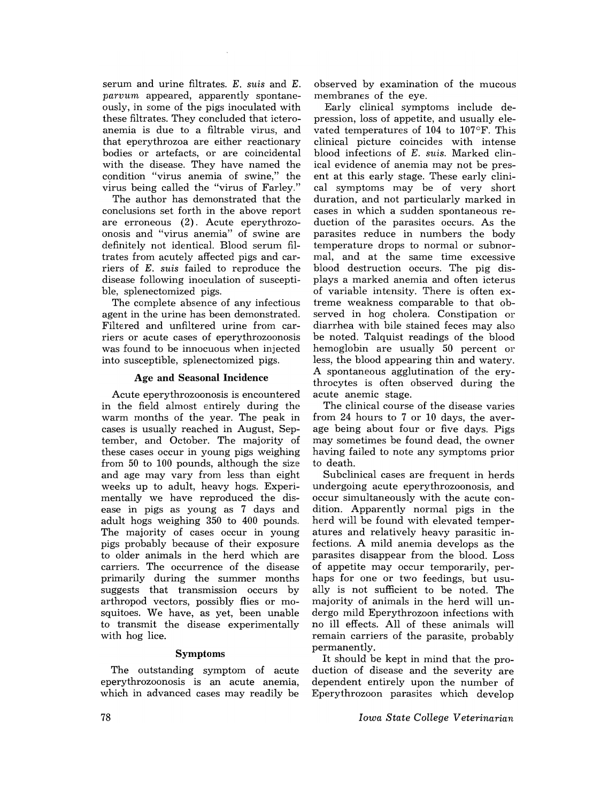serum and urine filtrates. E. *suis* and E. *parvum* appeared, apparently spontaneously, in some of the pigs inoculated with these filtrates. They concluded that icteroanemia is due to a filtrable virus, and that eperythrozoa are either reactionary bodies or artefacts, or are coincidental with the disease. They have named the condition "virus anemia of swine," the virus being called the "virus of Farley."

The author has demonstrated that the conclusions set forth in the above report are erroneous (2). Acute eperythrozoonosis and "virus anemia" of swine are definitely not identical. Blood serum filtrates from acutely affected pigs and carriers of E. *suis* failed to reproduce the disease following inoculation of susceptible, splenectomized pigs.

The complete absence of any infectious agent in the urine has been demonstrated. Filtered and unfiltered urine from carriers or acute cases of eperythrozoonosis was found to be innocuous when injected into susceptible, splenectomized pigs.

#### Age and Seasonal Incidence

Acute eperythrozoonosis is encountered in the field almost entirely during the warm months of the year. The peak in cases is usually reached in August, September, and October. The majority of these cases occur in young pigs weighing from 50 to 100 pounds, although the size and age may vary from less than eight weeks up to adult, heavy hogs. Experimentally we have reproduced the disease in pigs as young as 7 days and adult hogs weighing 350 to 400 pounds. The majority of cases occur in young pigs probably because of their exposure to older animals in the herd which are carriers. The occurrence of the disease primarily during the summer months suggests that transmission occurs by arthropod vectors, possibly flies or mosquitoes. We have, as yet, been unable to transmit the disease experimentally with hog lice.

#### Symptoms

The outstanding symptom of acute eperythrozoonosis is an acute anemia, which in advanced cases may readily be observed by examination of the mucous membranes of the eye.

Early clinical symptoms include depression, loss of appetite, and usually elevated temperatures of 104 to 107°F. This clinical picture coincides with intense blood infections of E. *suis.* Marked clinical evidence of anemia may not be present at this early stage. These early clinical symptoms may be of very short duration, and not particularly marked in cases in which a sudden spontaneous reduction of the parasites occurs. As the parasites reduce in numbers the body temperature drops to normal or subnormal, and at the same time excessive blood destruction occurs. The pig displays a marked anemia and often icterus of variable intensity. There is often extreme weakness comparable to that observed in hog cholera. Constipation or diarrhea with bile stained feces may also be noted. Talquist readings of the blood hemoglobin are usually 50 percent or less, the blood appearing thin and watery. A spontaneous agglutination of the erythrocytes is often observed during the acute anemic stage.

The clinical course of the disease varies from 24 hours to 7 or 10 days, the average being about four or five days. Pigs may sometimes be found dead, the owner having failed to note any symptoms prior to death.

Subclinical cases are frequent in herds undergoing acute eperythrozoonosis, and occur simultaneously with the acute condition. Apparently normal pigs in the herd will be found with elevated temperatures and relatively heavy parasitic infections. A mild anemia develops as the parasites disappear from the blood. Loss of appetite may occur temporarily, perhaps for one or two feedings, but usually is not sufficient to be noted. The majority of animals in the herd will undergo mild Eperythrozoon infections with no ill effects. All of these animals will remain carriers of the parasite, probably permanently.

It should be kept in mind that the production of disease and the severity are dependent entirely upon the number of Eperythrozoon parasites which develop

*Iowa State College Veterinarian*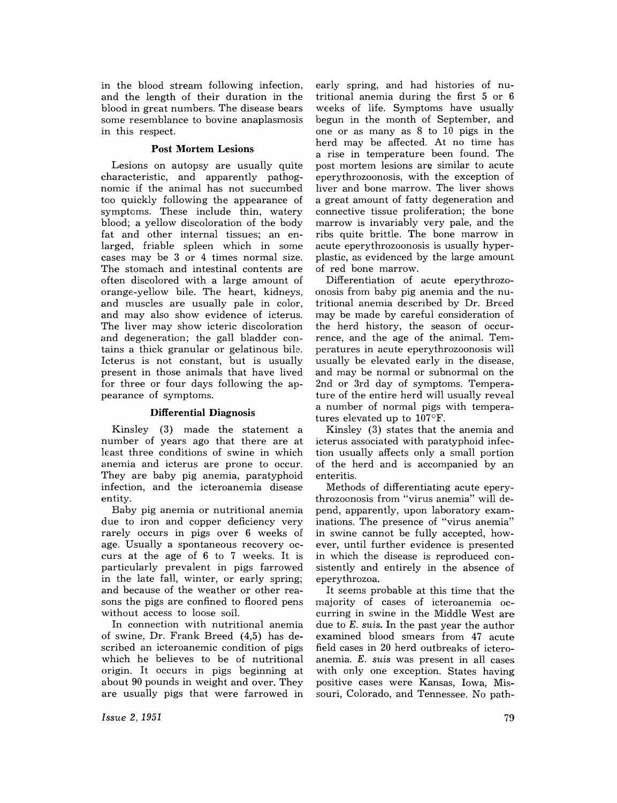in the blood stream following infection, and the length of their duration in the blood in great numbers. The disease bears some resemblance to bovine anaplasmosis in this respect.

### **Post Mortem Lesions**

Lesions on autopsy are usually quite characteristic, and apparently pathognomic if the animal has not succumbed too quickly following the appearance of symptoms. These include thin, watery blood; a yellow discoloration of the body fat and other internal tissues; an enlarged, friable spleen which in some cases may be 3 or 4 times normal size. The stomach and intestinal contents are often discolored with a large amount of orange-yellow bile. The heart, kidneys, and muscles are usually pale in color, and may also show evidence of icterus. The liver may show icteric discoloration and degeneration; the gall bladder contains a thick granular or gelatinous bile. Icterus is not constant, but is usually present in those animals that have lived for three or four days following the appearance of symptoms.

#### **Differential Diagnosis**

Kinsley (3) made the statement a number of years ago that there are at least three conditions of swine in which anemia and icterus are prone to occur. They are baby pig anemia, paratyphoid infection, and the icteroanemia disease entity.

Baby pig anemia or nutritional anemia due to iron and copper deficiency very rarely occurs in pigs over 6 weeks of age. Usually a spontaneous recovery occurs at the age of 6 to 7 weeks. It is particularly prevalent in pigs farrowed in the late fall, winter, or early spring; and because of the weather or other reasons the pigs are confined to floored pens without access to loose soil.

In connection with nutritional anemia of swine, Dr. Frank Breed (4,5) has described an icteroanemic condition of pigs which he believes to be of nutritional origin. It occurs in pigs beginning at about 90 pounds in weight and over. They are usually pigs that were farrowed in

early spring, and had histories of nutritional anemia during the first 5 or 6 weeks of life. Symptoms have usually begun in the month of September, and one or as many as 8 to 10 pigs in the herd may be affected. At no time has a rise in temperature been found. The post mortem lesions are similar to acute eperythrozoonosis, with the exception of liver and bone marrow. The liver shows a great amount of fatty degeneration and connective tissue proliferation; the bone marrow is invariably very pale, and the ribs quite brittle. The bone marrow in acute eperythrozoonosis is usually hyperplastic, as evidenced by the large amount of red bone marrow.

Differentiation of acute eperythrozoonosis from baby pig anemia and the nutritional anemia described by Dr. Breed may be made by careful consideration of the herd history, the season of occurrence, and the age of the animal. Temperatures in acute eperythrozoonosis will usually be elevated early in the disease, and may be normal or subnormal on the 2nd or 3rd day of symptoms. Temperature of the entire herd will usually reveal a number of normal pigs with temperatures elevated up to 107°F.

Kinsley (3) states that the anemia and icterus associated with paratyphoid infection usually affects only a small portion of the herd and is accompanied by an enteritis.

Methods of differentiating acute eperythrozoonosis from "virus anemia" will depend, apparently, upon laboratory examinations. The presence of "virus anemia" in swine cannot be fully accepted, however, until further evidence is presented in which the disease is reproduced consistently and entirely in the absence of eperythrozoa.

It seems probable at this time that the majority of cases of icteroanemia occurring in swine in the Middle West are due to *E. suis.* In the past year the author examined blood smears from 47 acute field cases in 20 herd outbreaks of icteroanemia. *E. suis* was present in all cases with only one exception. States having positive cases were Kansas, Iowa, Missouri, Colorado, and Tennessee. No path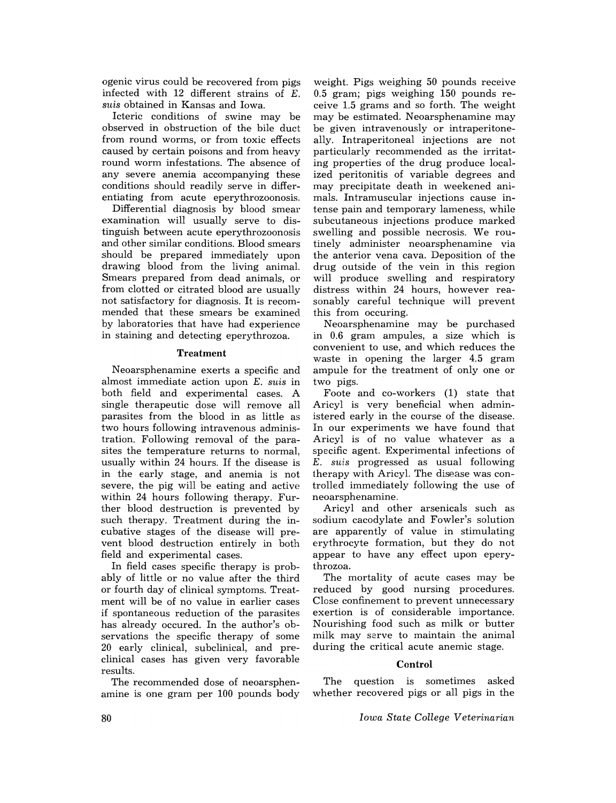ogenic virus could be recovered from pigs infected with 12 different strains of E. *suis* obtained in Kansas and Iowa.

Icteric conditions of swine may be observed in obstruction of the bile duct from round worms, or from toxic effects caused by certain poisons and from heavy round worm infestations. The absence of any severe anemia accompanying these conditions should readily serve in differentiating from acute eperythrozoonosis.

Differential diagnosis by blood smear examination will usually serve to distinguish between acute eperythrozoonosis and other similar conditions. Blood smears should be prepared immediately upon drawing blood from the living animal. Smears prepared from dead animals, or from clotted or citrated blood are usually not satisfactory for diagnosis. It is recommended that these smears be examined by laboratories that have had experience in staining and detecting eperythrozoa.

#### Treatment

Neoarsphenamine exerts a specific and almost immediate action upon E. *suis* in both field and experimental cases. A single therapeutic dose will remove all parasites from the blood in as little as two hours following intravenous administration. Following removal of the parasites the temperature returns to normal, usually within 24 hours. If the disease is in the early stage, and anemia is not severe, the pig will be eating and active within 24 hours following therapy. Further blood destruction is prevented by such therapy. Treatment during the incubative stages of the disease will prevent blood destruction entirely in both field and experimental cases.

In field cases specific therapy is probably of little or no value after the third or fourth day of clinical symptoms. Treatment will be of no value in earlier cases if spontaneous reduction of the parasites has already occured. In the author's observations the specific therapy of some 20 early clinical, subclinical, and preclinical cases has given very favorable results.

The recommended dose of neoarsphenamine is one gram per 100 pounds body

weight. Pigs weighing 50 pounds receive 0.5 gram; pigs weighing 150 pounds receive 1.5 grams and so forth. The weight may be estimated. Neoarsphenamine may be given intravenously or intraperitoneally. Intraperitoneal injections are not particularly recommended as the irritating properties of the drug produce localized peritonitis of variable degrees and may precipitate death in weekened animals. Intramuscular injections cause intense pain and temporary lameness, while subcutaneous injections produce marked swelling and possible necrosis. We routinely administer neoarsphenamine via the anterior vena cava. Deposition of the drug outside of the vein in this region will produce swelling and respiratory distress within 24 hours, however reasonably careful technique will prevent this from occuring.

Neoarsphenamine may be purchased in 0.6 gram ampules, a size which is convenient to use, and which reduces the waste in opening the larger 4.5 gram ampule for the treatment of only one or two pigs.

Foote and co-workers (1) state that Aricyl is very beneficial when administered early in the course of the disease. In our experiments we have found that Aricyl is of no value whatever as a specific agent. Experimental infections of E. *suis* progressed as usual following therapy with Aricyl. The disease was controlled immediately following the use of neoarsphenamine.

Aricyl and other arsenicals such as sodium cacodylate and Fowler's solution are apparently of value in stimulating erythrocyte formation, but they do not appear to have any effect upon eperythrozoa.

The mortality of acute cases may be reduced by good nursing procedures. Close confinement to prevent unnecessary exertion is of considerable importance. Nourishing food such as milk or butter milk may serve to maintain .the animal during the critical acute anemic stage.

#### Control

The question is sometimes asked whether recovered pigs or all pigs in the

*Iowa State College Veterinarian*